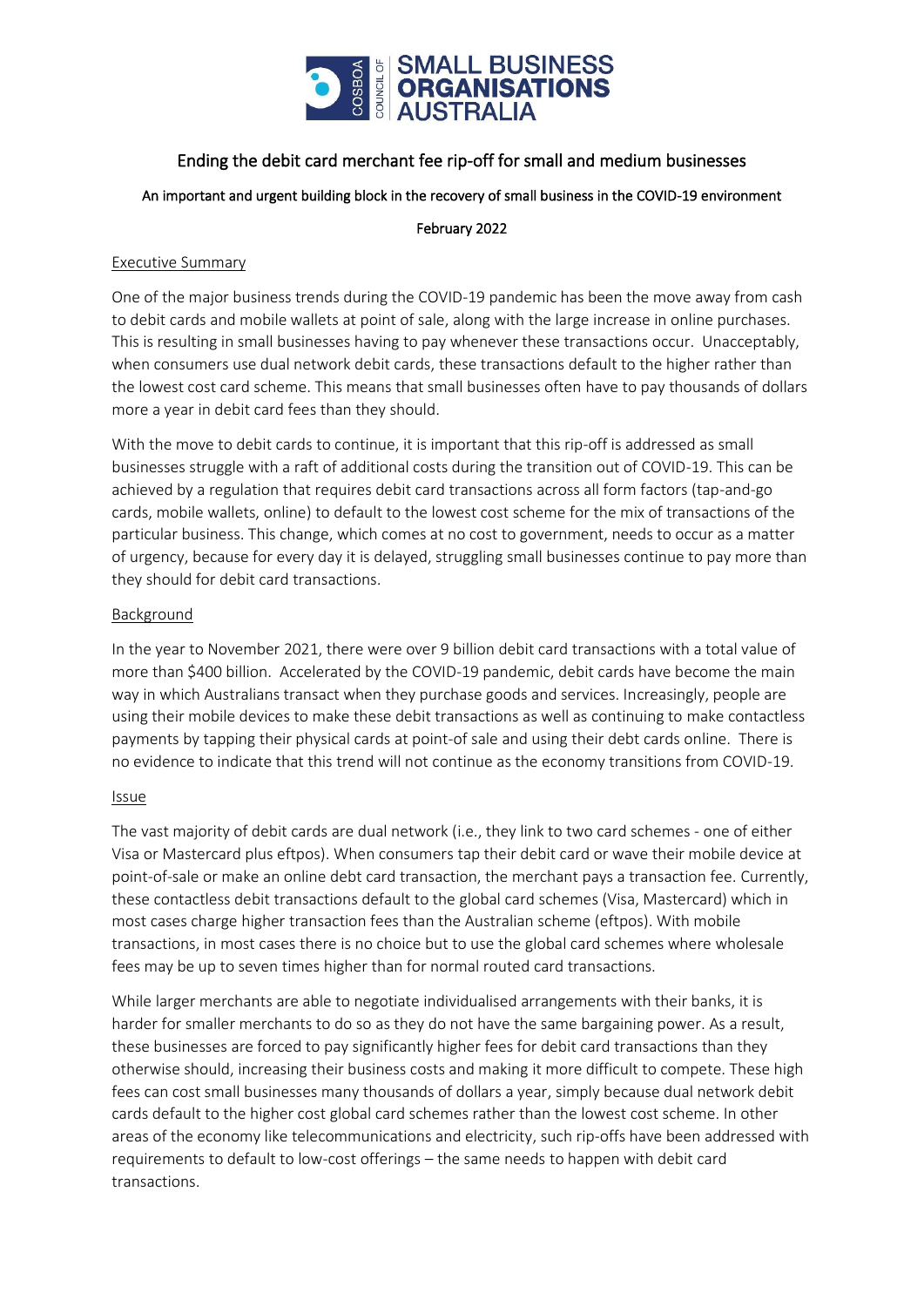

### Ending the debit card merchant fee rip-off for small and medium businesses

An important and urgent building block in the recovery of small business in the COVID-19 environment

#### February 2022

#### Executive Summary

One of the major business trends during the COVID-19 pandemic has been the move away from cash to debit cards and mobile wallets at point of sale, along with the large increase in online purchases. This is resulting in small businesses having to pay whenever these transactions occur. Unacceptably, when consumers use dual network debit cards, these transactions default to the higher rather than the lowest cost card scheme. This means that small businesses often have to pay thousands of dollars more a year in debit card fees than they should.

With the move to debit cards to continue, it is important that this rip-off is addressed as small businesses struggle with a raft of additional costs during the transition out of COVID-19. This can be achieved by a regulation that requires debit card transactions across all form factors (tap-and-go cards, mobile wallets, online) to default to the lowest cost scheme for the mix of transactions of the particular business. This change, which comes at no cost to government, needs to occur as a matter of urgency, because for every day it is delayed, struggling small businesses continue to pay more than they should for debit card transactions.

#### Background

In the year to November 2021, there were over 9 billion debit card transactions with a total value of more than \$400 billion. Accelerated by the COVID-19 pandemic, debit cards have become the main way in which Australians transact when they purchase goods and services. Increasingly, people are using their mobile devices to make these debit transactions as well as continuing to make contactless payments by tapping their physical cards at point-of sale and using their debt cards online. There is no evidence to indicate that this trend will not continue as the economy transitions from COVID-19.

#### Issue

The vast majority of debit cards are dual network (i.e., they link to two card schemes - one of either Visa or Mastercard plus eftpos). When consumers tap their debit card or wave their mobile device at point-of-sale or make an online debt card transaction, the merchant pays a transaction fee. Currently, these contactless debit transactions default to the global card schemes (Visa, Mastercard) which in most cases charge higher transaction fees than the Australian scheme (eftpos). With mobile transactions, in most cases there is no choice but to use the global card schemes where wholesale fees may be up to seven times higher than for normal routed card transactions.

While larger merchants are able to negotiate individualised arrangements with their banks, it is harder for smaller merchants to do so as they do not have the same bargaining power. As a result, these businesses are forced to pay significantly higher fees for debit card transactions than they otherwise should, increasing their business costs and making it more difficult to compete. These high fees can cost small businesses many thousands of dollars a year, simply because dual network debit cards default to the higher cost global card schemes rather than the lowest cost scheme. In other areas of the economy like telecommunications and electricity, such rip-offs have been addressed with requirements to default to low-cost offerings – the same needs to happen with debit card transactions.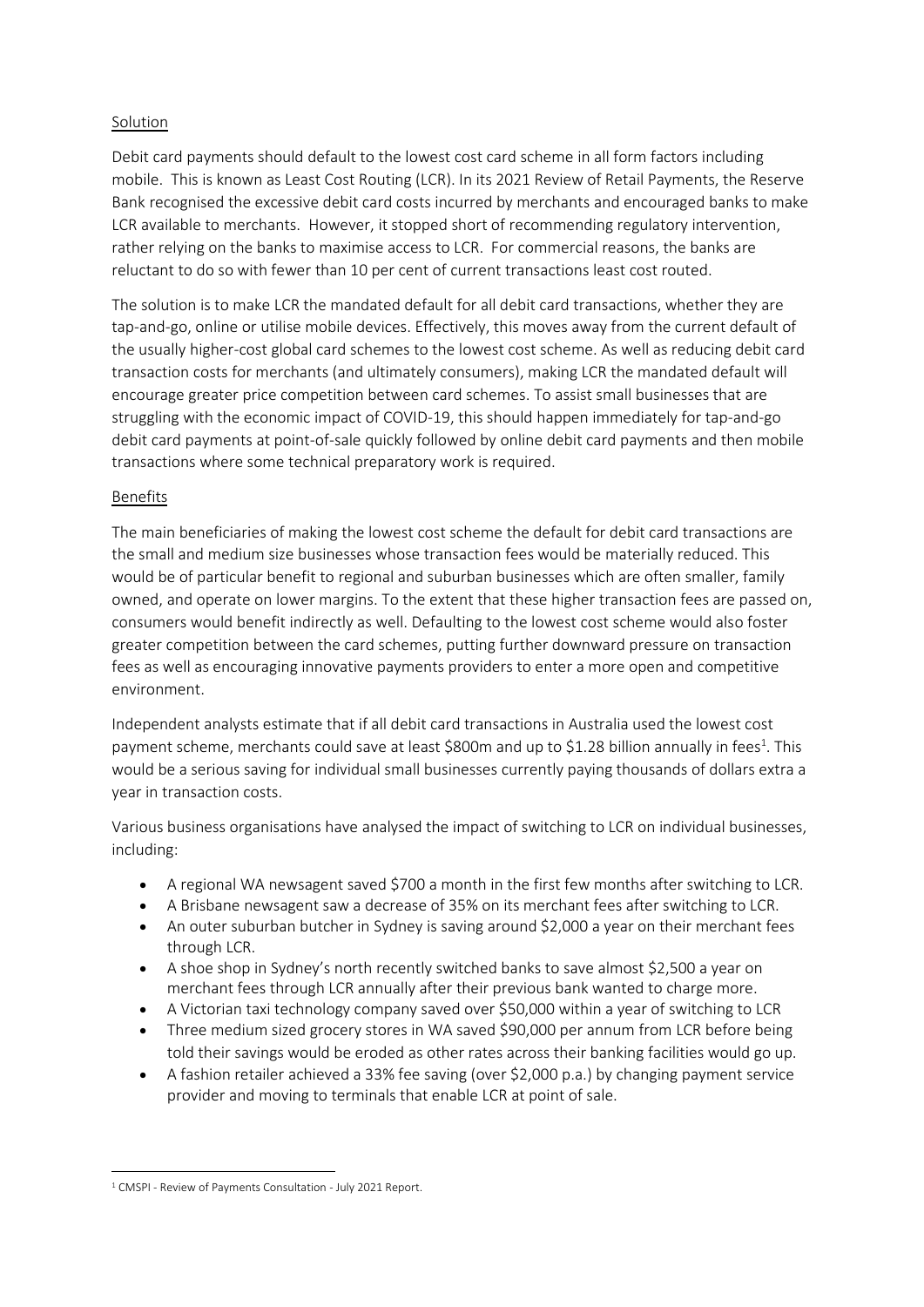#### Solution

Debit card payments should default to the lowest cost card scheme in all form factors including mobile. This is known as Least Cost Routing (LCR). In its 2021 Review of Retail Payments, the Reserve Bank recognised the excessive debit card costs incurred by merchants and encouraged banks to make LCR available to merchants. However, it stopped short of recommending regulatory intervention, rather relying on the banks to maximise access to LCR. For commercial reasons, the banks are reluctant to do so with fewer than 10 per cent of current transactions least cost routed.

The solution is to make LCR the mandated default for all debit card transactions, whether they are tap-and-go, online or utilise mobile devices. Effectively, this moves away from the current default of the usually higher-cost global card schemes to the lowest cost scheme. As well as reducing debit card transaction costs for merchants (and ultimately consumers), making LCR the mandated default will encourage greater price competition between card schemes. To assist small businesses that are struggling with the economic impact of COVID-19, this should happen immediately for tap-and-go debit card payments at point-of-sale quickly followed by online debit card payments and then mobile transactions where some technical preparatory work is required.

#### Benefits

The main beneficiaries of making the lowest cost scheme the default for debit card transactions are the small and medium size businesses whose transaction fees would be materially reduced. This would be of particular benefit to regional and suburban businesses which are often smaller, family owned, and operate on lower margins. To the extent that these higher transaction fees are passed on, consumers would benefit indirectly as well. Defaulting to the lowest cost scheme would also foster greater competition between the card schemes, putting further downward pressure on transaction fees as well as encouraging innovative payments providers to enter a more open and competitive environment.

Independent analysts estimate that if all debit card transactions in Australia used the lowest cost payment scheme, merchants could save at least \$800m and up to \$1.28 billion annually in fees<sup>1</sup>. This would be a serious saving for individual small businesses currently paying thousands of dollars extra a year in transaction costs.

Various business organisations have analysed the impact of switching to LCR on individual businesses, including:

- A regional WA newsagent saved \$700 a month in the first few months after switching to LCR.
- A Brisbane newsagent saw a decrease of 35% on its merchant fees after switching to LCR.
- An outer suburban butcher in Sydney is saving around \$2,000 a year on their merchant fees through LCR.
- A shoe shop in Sydney's north recently switched banks to save almost \$2,500 a year on merchant fees through LCR annually after their previous bank wanted to charge more.
- A Victorian taxi technology company saved over \$50,000 within a year of switching to LCR
- Three medium sized grocery stores in WA saved \$90,000 per annum from LCR before being told their savings would be eroded as other rates across their banking facilities would go up.
- A fashion retailer achieved a 33% fee saving (over \$2,000 p.a.) by changing payment service provider and moving to terminals that enable LCR at point of sale.

<sup>&</sup>lt;sup>1</sup> CMSPI - Review of Payments Consultation - July 2021 Report.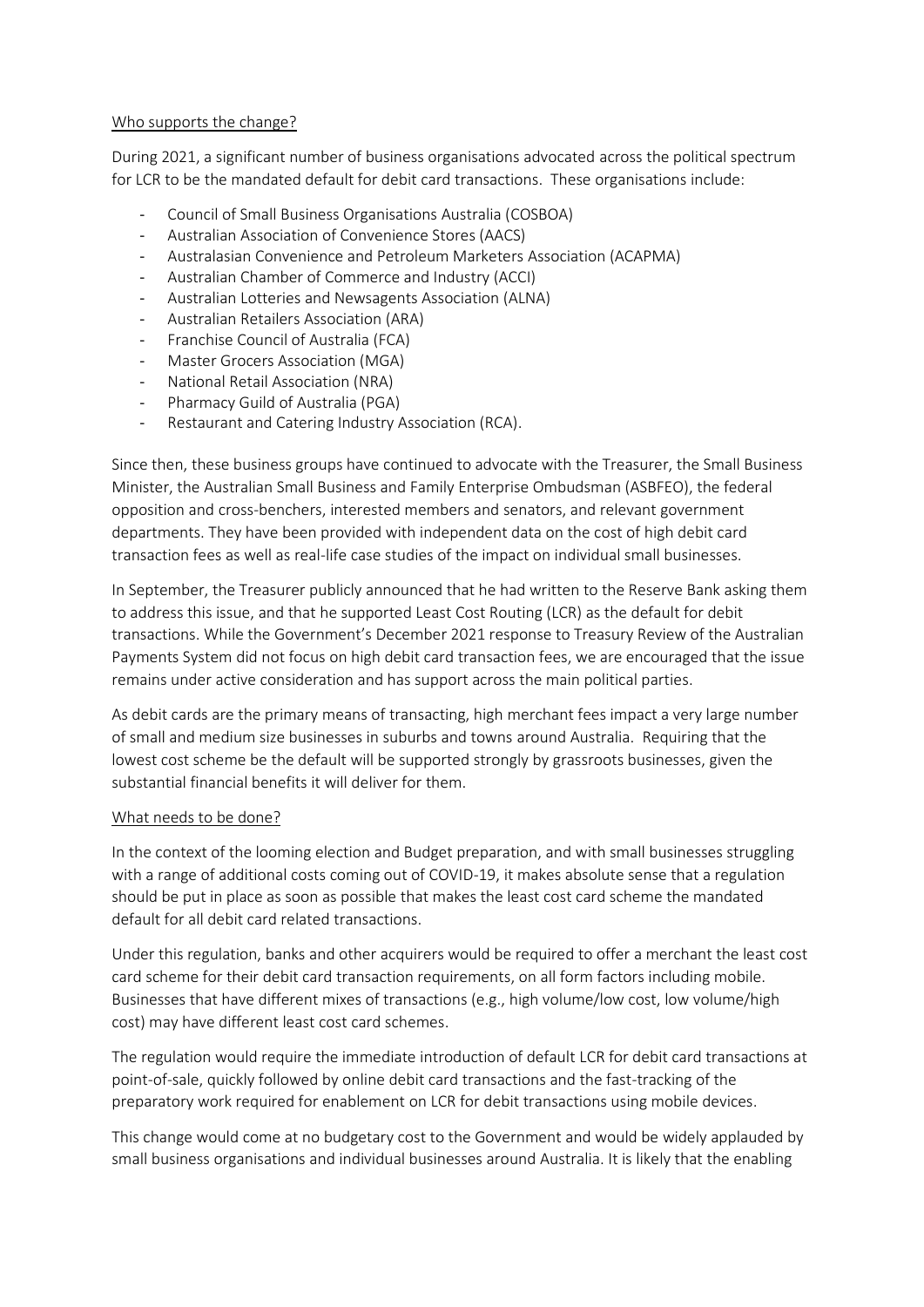#### Who supports the change?

During 2021, a significant number of business organisations advocated across the political spectrum for LCR to be the mandated default for debit card transactions. These organisations include:

- Council of Small Business Organisations Australia (COSBOA)
- Australian Association of Convenience Stores (AACS)
- Australasian Convenience and Petroleum Marketers Association (ACAPMA)
- Australian Chamber of Commerce and Industry (ACCI)
- Australian Lotteries and Newsagents Association (ALNA)
- Australian Retailers Association (ARA)
- Franchise Council of Australia (FCA)
- Master Grocers Association (MGA)
- National Retail Association (NRA)
- Pharmacy Guild of Australia (PGA)
- Restaurant and Catering Industry Association (RCA).

Since then, these business groups have continued to advocate with the Treasurer, the Small Business Minister, the Australian Small Business and Family Enterprise Ombudsman (ASBFEO), the federal opposition and cross-benchers, interested members and senators, and relevant government departments. They have been provided with independent data on the cost of high debit card transaction fees as well as real-life case studies of the impact on individual small businesses.

In September, the Treasurer publicly announced that he had written to the Reserve Bank asking them to address this issue, and that he supported Least Cost Routing (LCR) as the default for debit transactions. While the Government's December 2021 response to Treasury Review of the Australian Payments System did not focus on high debit card transaction fees, we are encouraged that the issue remains under active consideration and has support across the main political parties.

As debit cards are the primary means of transacting, high merchant fees impact a very large number of small and medium size businesses in suburbs and towns around Australia. Requiring that the lowest cost scheme be the default will be supported strongly by grassroots businesses, given the substantial financial benefits it will deliver for them.

#### What needs to be done?

In the context of the looming election and Budget preparation, and with small businesses struggling with a range of additional costs coming out of COVID-19, it makes absolute sense that a regulation should be put in place as soon as possible that makes the least cost card scheme the mandated default for all debit card related transactions.

Under this regulation, banks and other acquirers would be required to offer a merchant the least cost card scheme for their debit card transaction requirements, on all form factors including mobile. Businesses that have different mixes of transactions (e.g., high volume/low cost, low volume/high cost) may have different least cost card schemes.

The regulation would require the immediate introduction of default LCR for debit card transactions at point-of-sale, quickly followed by online debit card transactions and the fast-tracking of the preparatory work required for enablement on LCR for debit transactions using mobile devices.

This change would come at no budgetary cost to the Government and would be widely applauded by small business organisations and individual businesses around Australia. It is likely that the enabling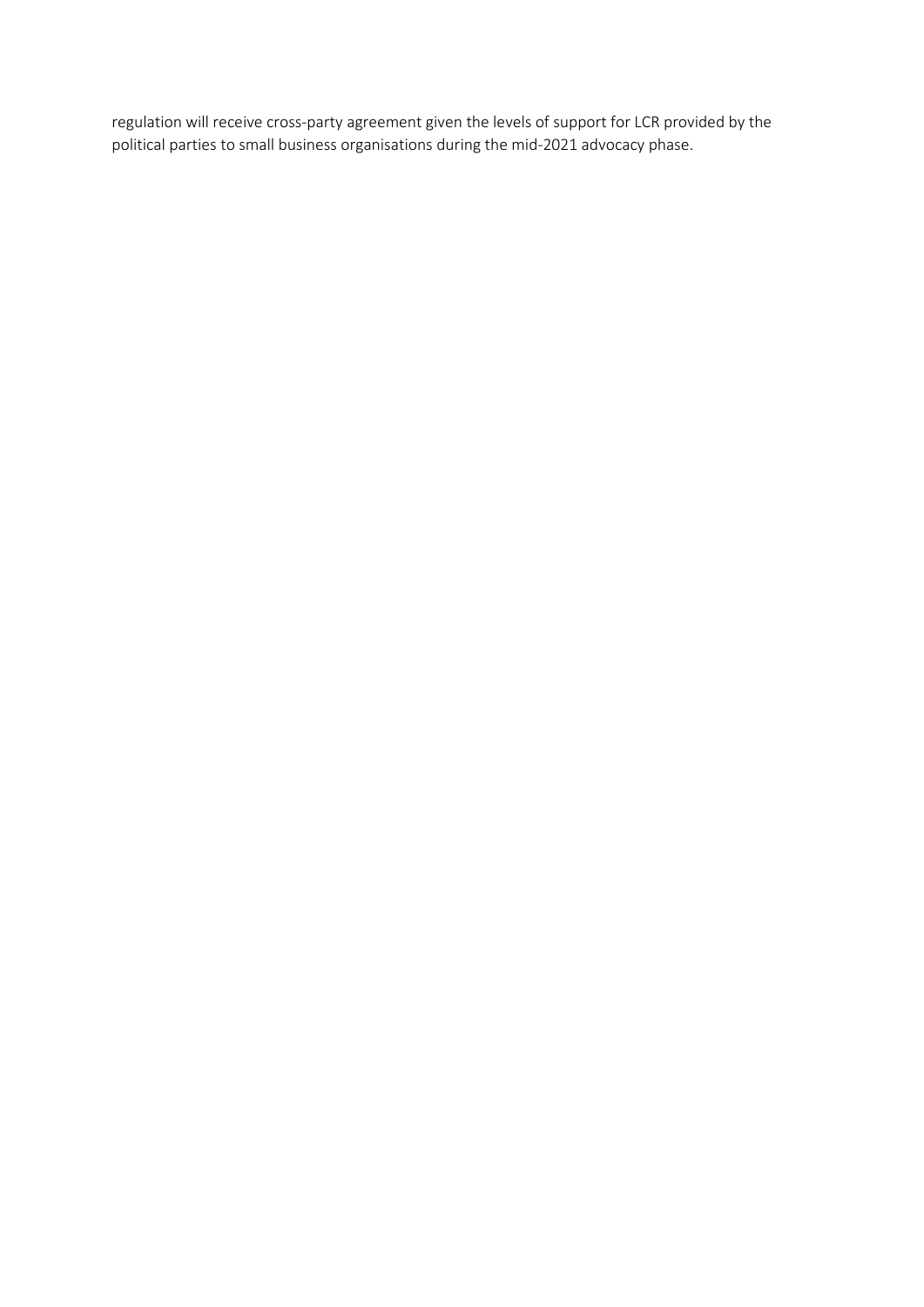regulation will receive cross-party agreement given the levels of support for LCR provided by the political parties to small business organisations during the mid-2021 advocacy phase.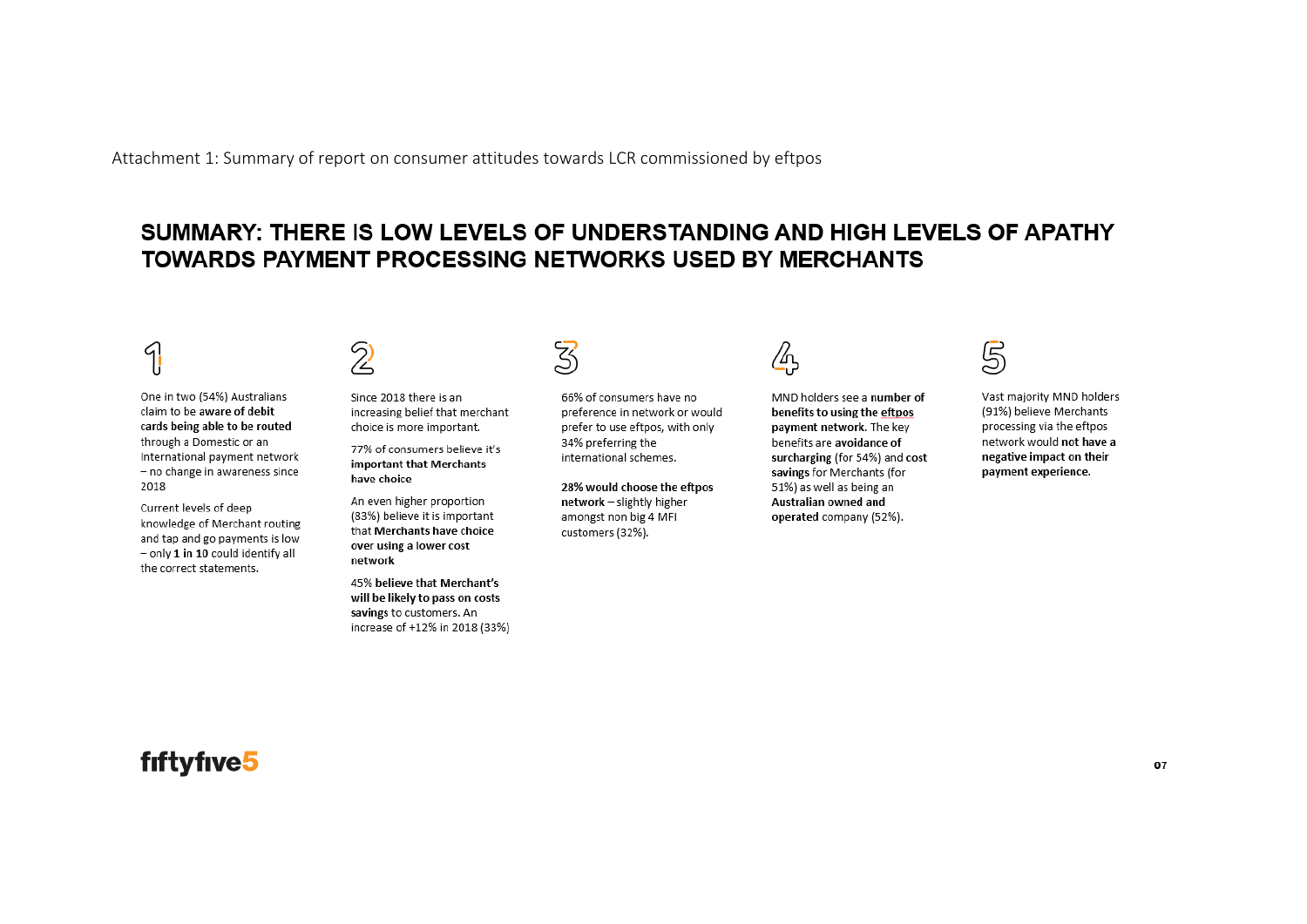Attachment 1: Summary of report on consumer attitudes towards LCR commissioned by eftpos

### SUMMARY: THERE IS LOW LEVELS OF UNDERSTANDING AND HIGH LEVELS OF APATHY **TOWARDS PAYMENT PROCESSING NETWORKS USED BY MERCHANTS**

#### 4 Ш

One in two (54%) Australians claim to be aware of debit cards being able to be routed through a Domestic or an International payment network - no change in awareness since 2018

Current levels of deep knowledge of Merchant routing and tap and go payments is low  $-$  only 1 in 10 could identify all the correct statements.

Since 2018 there is an increasing belief that merchant choice is more important.

77% of consumers believe it's important that Merchants have choice

An even higher proportion (83%) believe it is important that Merchants have choice over using a lower cost network

45% believe that Merchant's will be likely to pass on costs savings to customers. An increase of +12% in 2018 (33%)

66% of consumers have no preference in network or would prefer to use eftpos, with only 34% preferring the international schemes.

28% would choose the eftpos network - slightly higher amongst non big 4 MFI customers (32%).

/հա

MND holders see a number of benefits to using the eftpos payment network. The key benefits are avoidance of surcharging (for 54%) and cost savings for Merchants (for 51%) as well as being an Australian owned and operated company (52%).



Vast majority MND holders (91%) believe Merchants processing via the eftpos network would not have a negative impact on their payment experience.

## fiftyfive5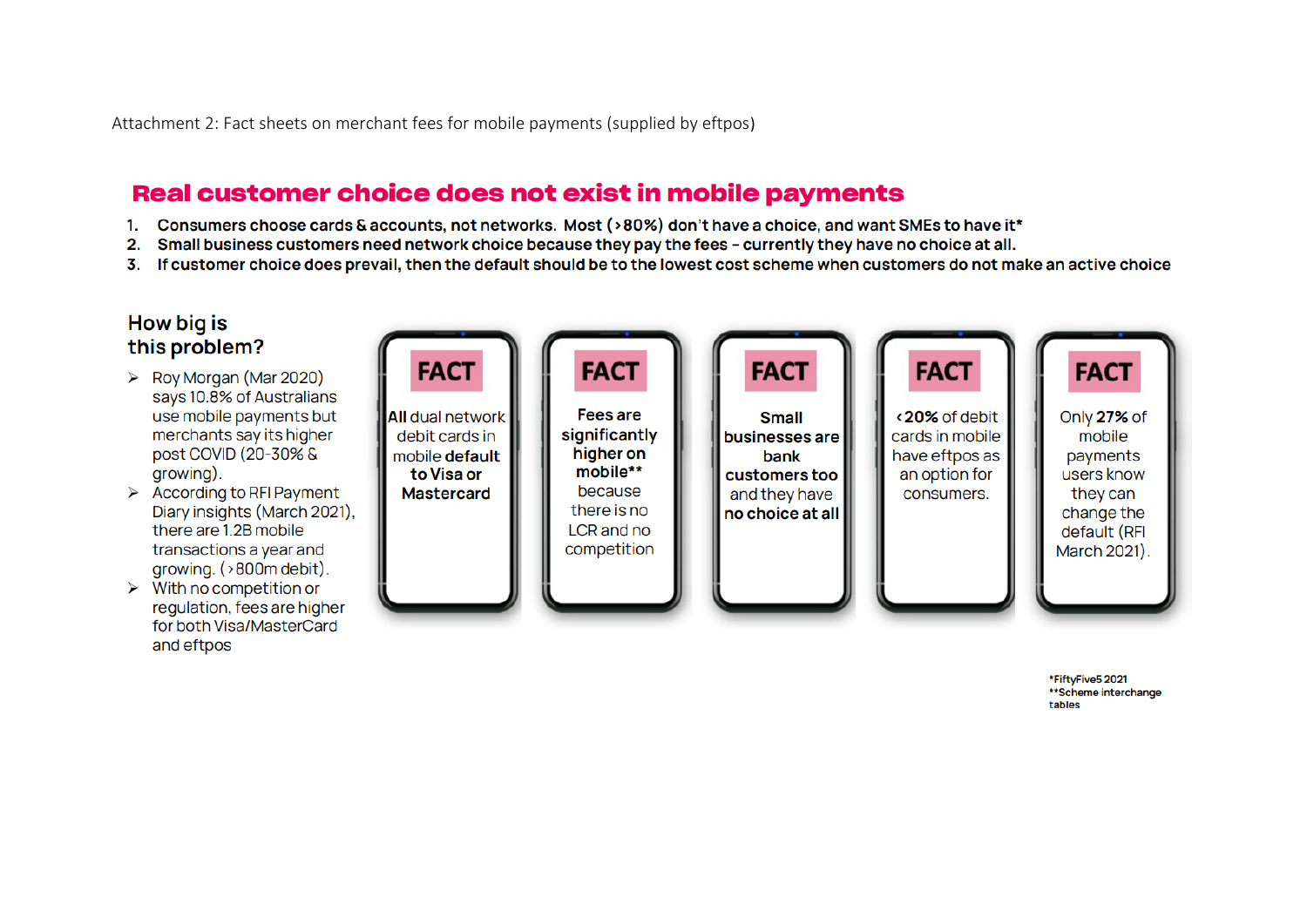Attachment 2: Fact sheets on merchant fees for mobile payments (supplied by eftpos)

## Real customer choice does not exist in mobile payments

- 1. Consumers choose cards & accounts, not networks. Most (>80%) don't have a choice, and want SMEs to have it\*
- 2. Small business customers need network choice because they pay the fees currently they have no choice at all.
- 3. If customer choice does prevail, then the default should be to the lowest cost scheme when customers do not make an active choice



\*FiftyFive5 2021 \*\*Scheme interchange tables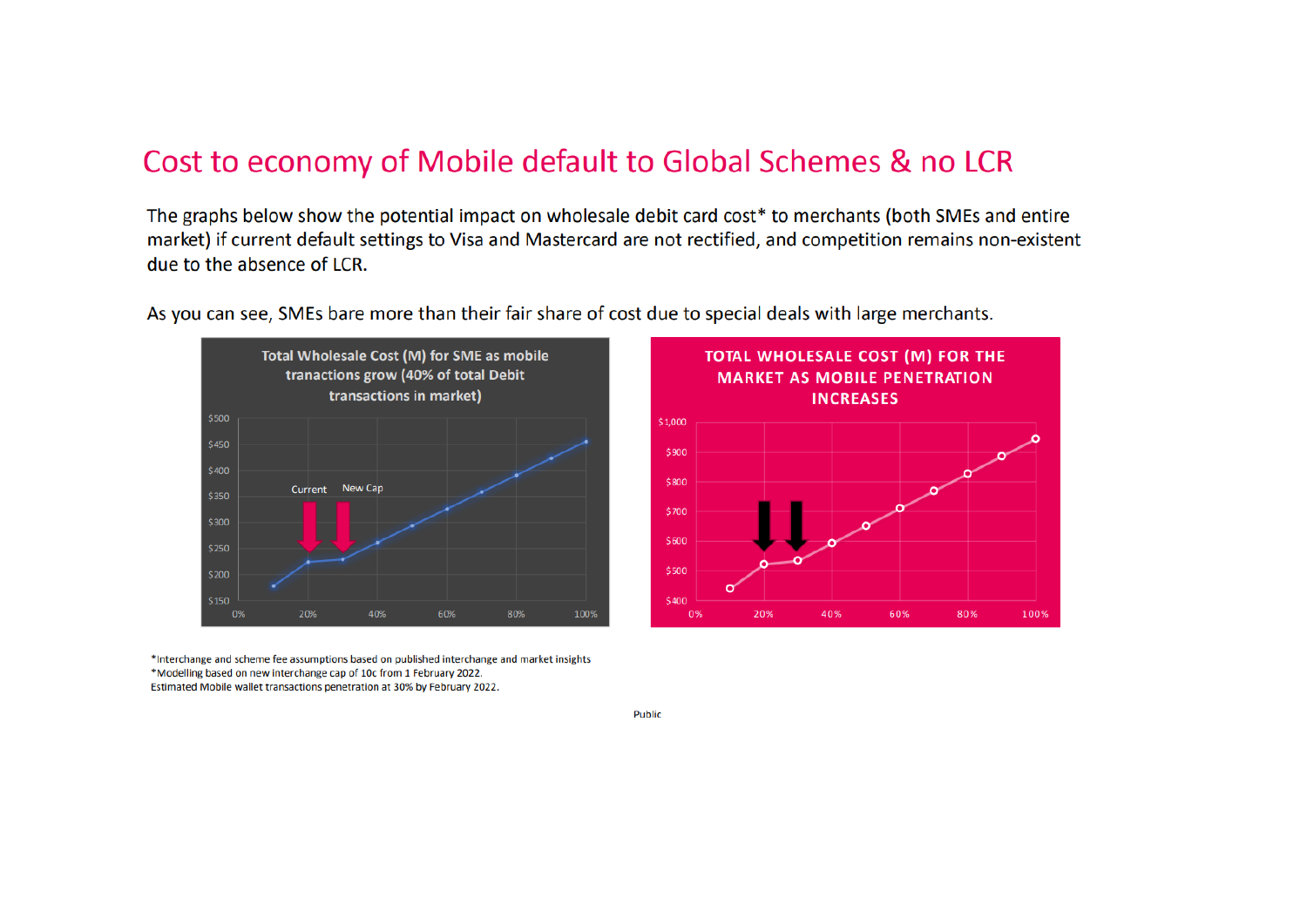## Cost to economy of Mobile default to Global Schemes & no LCR

The graphs below show the potential impact on wholesale debit card cost\* to merchants (both SMEs and entire market) if current default settings to Visa and Mastercard are not rectified, and competition remains non-existent due to the absence of LCR.



As you can see, SMEs bare more than their fair share of cost due to special deals with large merchants.



\*Interchange and scheme fee assumptions based on published interchange and market insights \*Modelling based on new interchange cap of 10c from 1 February 2022. Estimated Mobile wallet transactions penetration at 30% by February 2022.

Public